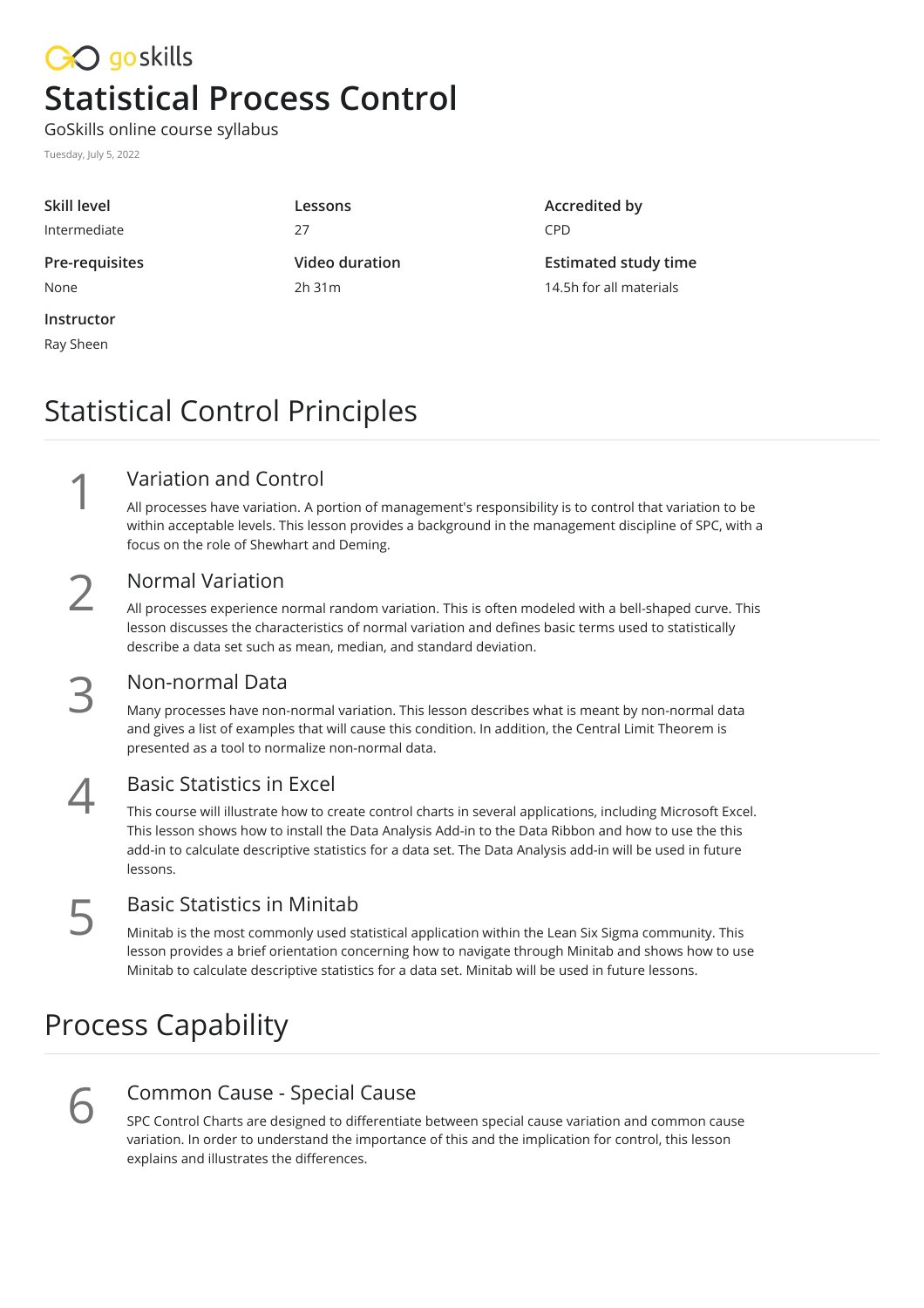# CO goskills **Statistical Process Control**

GoSkills online course syllabus Tuesday, July 5, 2022

| Skill level    | Lessons        | Ac              |
|----------------|----------------|-----------------|
| Intermediate   | 27             | CP              |
| Pre-requisites | Video duration | Es <sup>-</sup> |
| None           | 2h31m          | 14              |
| Instructor     |                |                 |

Ray Sheen

**Accredited by** CPD

**Estimated study time** .5h for all materials

# Statistical Control Principles

# Variation and Control 1

All processes have variation. A portion of management's responsibility is to control that variation to be within acceptable levels. This lesson provides a background in the management discipline of SPC, with a focus on the role of Shewhart and Deming.

# 2

#### Normal Variation

All processes experience normal random variation. This is often modeled with a bell-shaped curve. This lesson discusses the characteristics of normal variation and defines basic terms used to statistically describe a data set such as mean, median, and standard deviation.



### Non-normal Data

Many processes have non-normal variation. This lesson describes what is meant by non-normal data and gives a list of examples that will cause this condition. In addition, the Central Limit Theorem is presented as a tool to normalize non-normal data.

4

#### Basic Statistics in Excel

This course will illustrate how to create control charts in several applications, including Microsoft Excel. This lesson shows how to install the Data Analysis Add-in to the Data Ribbon and how to use the this add-in to calculate descriptive statistics for a data set. The Data Analysis add-in will be used in future lessons.

# 5

#### Basic Statistics in Minitab

Minitab is the most commonly used statistical application within the Lean Six Sigma community. This lesson provides a brief orientation concerning how to navigate through Minitab and shows how to use Minitab to calculate descriptive statistics for a data set. Minitab will be used in future lessons.

# Process Capability



#### Common Cause - Special Cause

SPC Control Charts are designed to differentiate between special cause variation and common cause variation. In order to understand the importance of this and the implication for control, this lesson explains and illustrates the differences.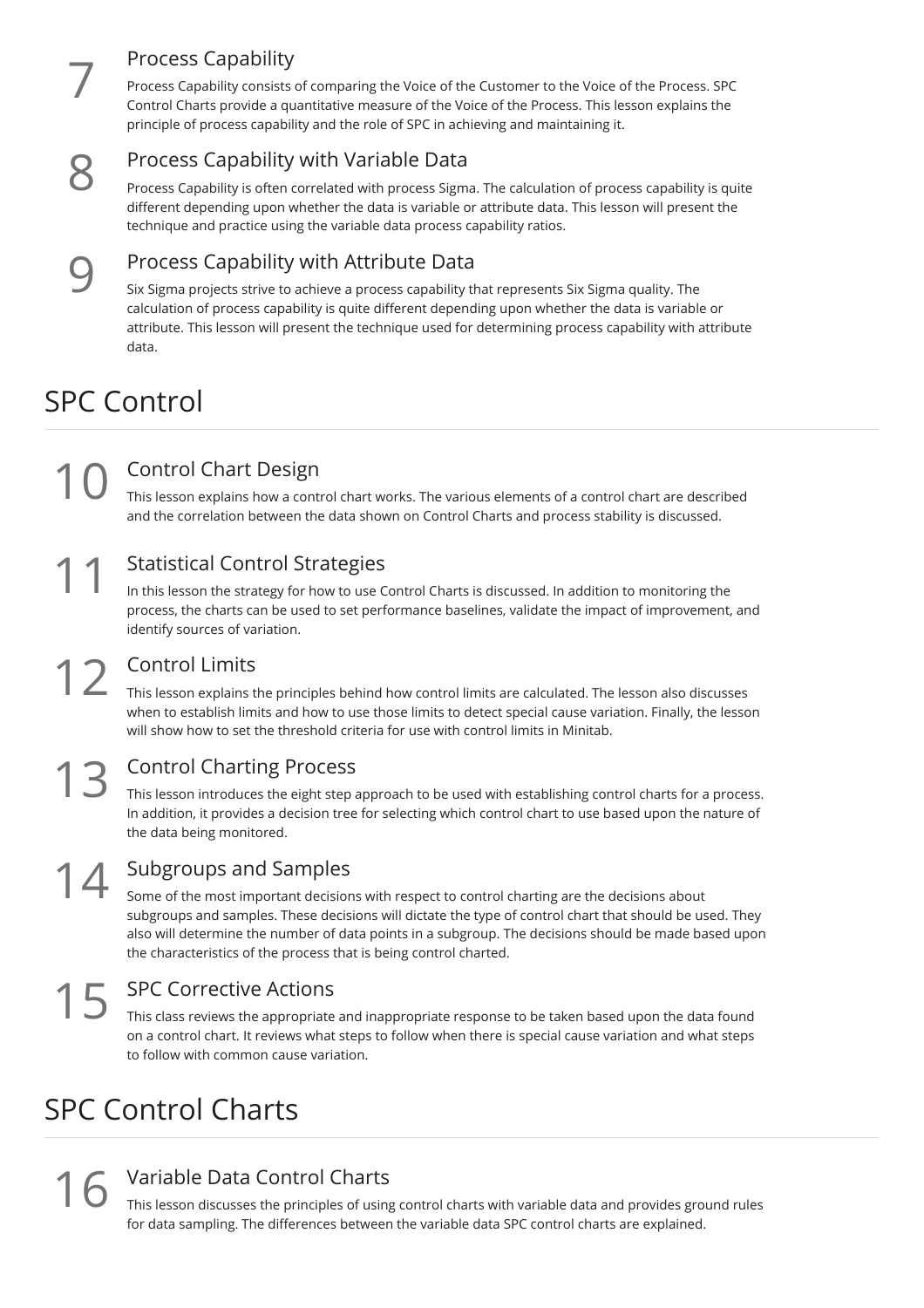7

#### Process Capability

Process Capability consists of comparing the Voice of the Customer to the Voice of the Process. SPC Control Charts provide a quantitative measure of the Voice of the Process. This lesson explains the principle of process capability and the role of SPC in achieving and maintaining it.



#### Process Capability with Variable Data

Process Capability is often correlated with process Sigma. The calculation of process capability is quite different depending upon whether the data is variable or attribute data. This lesson will present the technique and practice using the variable data process capability ratios.

Process Capability with Attribute Data 9

Six Sigma projects strive to achieve a process capability that represents Six Sigma quality. The calculation of process capability is quite different depending upon whether the data is variable or attribute. This lesson will present the technique used for determining process capability with attribute data.

# SPC Control

### Control Chart Design

This lesson explains how a control chart works. The various elements of a control chart are described **and 1** Control Chart Design<br>This lesson explains how a control chart works. The various elements of a control chart are descri<br>and the correlation between the data shown on Control Charts and process stability is discusse

## Statistical Control Strategies  $11 \frac{5}{11}$

In this lesson the strategy for how to use Control Charts is discussed. In addition to monitoring the process, the charts can be used to set performance baselines, validate the impact of improvement, and identify sources of variation.

## Control Limits  $12<sub>1</sub>$

This lesson explains the principles behind how control limits are calculated. The lesson also discusses when to establish limits and how to use those limits to detect special cause variation. Finally, the lesson will show how to set the threshold criteria for use with control limits in Minitab.

 $13<sub>n</sub>$ 

#### Control Charting Process

This lesson introduces the eight step approach to be used with establishing control charts for a process. In addition, it provides a decision tree for selecting which control chart to use based upon the nature of the data being monitored.

# $14 \frac{9}{5}$

#### Subgroups and Samples

Some of the most important decisions with respect to control charting are the decisions about subgroups and samples. These decisions will dictate the type of control chart that should be used. They also will determine the number of data points in a subgroup. The decisions should be made based upon the characteristics of the process that is being control charted.

# SPC Corrective Actions  $15<sub>1</sub>$

This class reviews the appropriate and inappropriate response to be taken based upon the data found on a control chart. It reviews what steps to follow when there is special cause variation and what steps to follow with common cause variation.

# SPC Control Charts

# Variable Data Control Charts

This lesson discusses the principles of using control charts with variable data and provides ground rules **for 19 Set of data SPC STATES**<br>This lesson discusses the principles of using control charts with variable data and provides grout for data sampling. The differences between the variable data SPC control charts are explain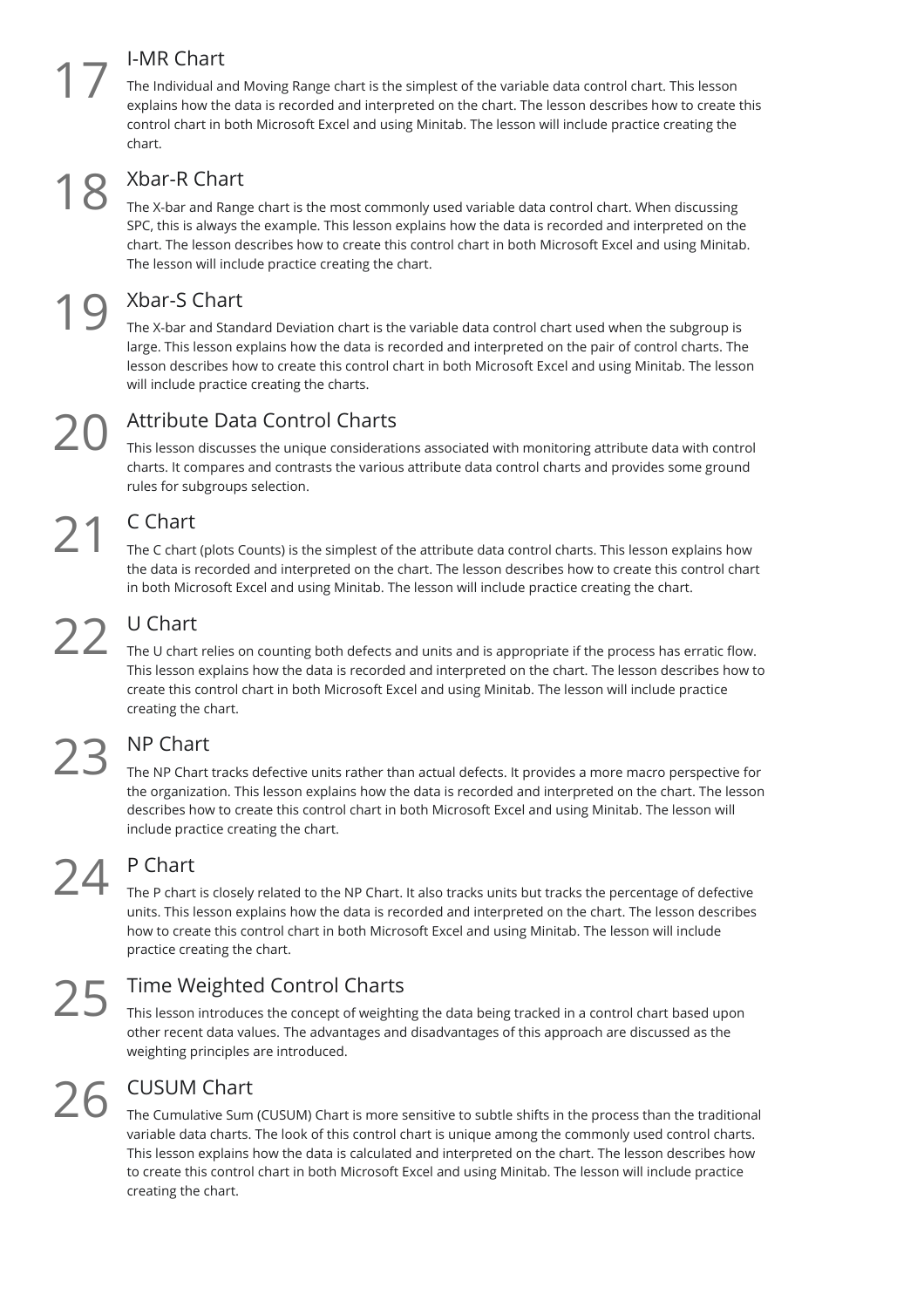# I-MR Chart

The Individual and Moving Range chart is the simplest of the variable data control chart. This lesson explains how the data is recorded and interpreted on the chart. The lesson describes how to create this control chart in both Microsoft Excel and using Minitab. The lesson will include practice creating the chart.  $17 \frac{1}{1}$ 

# Xbar-R Chart  $18<sup>2</sup>$

The X-bar and Range chart is the most commonly used variable data control chart. When discussing SPC, this is always the example. This lesson explains how the data is recorded and interpreted on the chart. The lesson describes how to create this control chart in both Microsoft Excel and using Minitab. The lesson will include practice creating the chart.

### Xbar-S Chart  $19<sup>7</sup>$

The X-bar and Standard Deviation chart is the variable data control chart used when the subgroup is large. This lesson explains how the data is recorded and interpreted on the pair of control charts. The lesson describes how to create this control chart in both Microsoft Excel and using Minitab. The lesson will include practice creating the charts.

# Attribute Data Control Charts  $20<sup>7</sup>$

This lesson discusses the unique considerations associated with monitoring attribute data with control charts. It compares and contrasts the various attribute data control charts and provides some ground rules for subgroups selection.

# C Chart  $21<sub>n</sub>$

The C chart (plots Counts) is the simplest of the attribute data control charts. This lesson explains how the data is recorded and interpreted on the chart. The lesson describes how to create this control chart in both Microsoft Excel and using Minitab. The lesson will include practice creating the chart.

# U Chart  $22<sup>1</sup>$

The U chart relies on counting both defects and units and is appropriate if the process has erratic flow. This lesson explains how the data is recorded and interpreted on the chart. The lesson describes how to create this control chart in both Microsoft Excel and using Minitab. The lesson will include practice creating the chart.

# NP Chart  $23<sub>n</sub>$

The NP Chart tracks defective units rather than actual defects. It provides a more macro perspective for the organization. This lesson explains how the data is recorded and interpreted on the chart. The lesson describes how to create this control chart in both Microsoft Excel and using Minitab. The lesson will include practice creating the chart.

# $24 \frac{P}{T}$

# P Chart

The P chart is closely related to the NP Chart. It also tracks units but tracks the percentage of defective units. This lesson explains how the data is recorded and interpreted on the chart. The lesson describes how to create this control chart in both Microsoft Excel and using Minitab. The lesson will include practice creating the chart.

# Time Weighted Control Charts  $25<sub>1</sub>$

This lesson introduces the concept of weighting the data being tracked in a control chart based upon other recent data values. The advantages and disadvantages of this approach are discussed as the weighting principles are introduced.

## CUSUM Chart 26

The Cumulative Sum (CUSUM) Chart is more sensitive to subtle shifts in the process than the traditional variable data charts. The look of this control chart is unique among the commonly used control charts. This lesson explains how the data is calculated and interpreted on the chart. The lesson describes how to create this control chart in both Microsoft Excel and using Minitab. The lesson will include practice creating the chart.